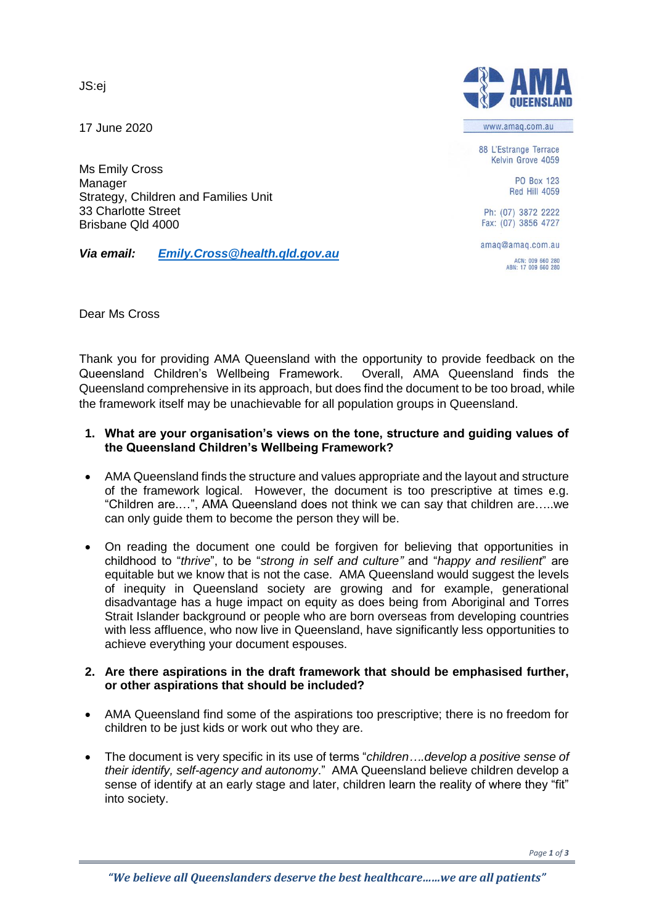JS:ej

17 June 2020

Ms Emily Cross Manager Strategy, Children and Families Unit 33 Charlotte Street Brisbane Qld 4000

*Via email: [Emily.Cross@health.qld.gov.au](mailto:Emily.Cross@health.qld.gov.au)*



www.amag.com.au

88 L'Estrange Terrace Kelvin Grove 4059

> **PO Roy 123 Red Hill 4059**

Ph: (07) 3872 2222 Fax: (07) 3856 4727

amaq@amaq.com.au

ACN: 009 660 280<br>ABN: 17 009 660 280

Dear Ms Cross

Thank you for providing AMA Queensland with the opportunity to provide feedback on the Queensland Children's Wellbeing Framework. Overall, AMA Queensland finds the Queensland comprehensive in its approach, but does find the document to be too broad, while the framework itself may be unachievable for all population groups in Queensland.

## **1. What are your organisation's views on the tone, structure and guiding values of the Queensland Children's Wellbeing Framework?**

- AMA Queensland finds the structure and values appropriate and the layout and structure of the framework logical. However, the document is too prescriptive at times e.g. "Children are.…", AMA Queensland does not think we can say that children are…..we can only guide them to become the person they will be.
- On reading the document one could be forgiven for believing that opportunities in childhood to "*thrive*", to be "*strong in self and culture"* and "*happy and resilient*" are equitable but we know that is not the case. AMA Queensland would suggest the levels of inequity in Queensland society are growing and for example, generational disadvantage has a huge impact on equity as does being from Aboriginal and Torres Strait Islander background or people who are born overseas from developing countries with less affluence, who now live in Queensland, have significantly less opportunities to achieve everything your document espouses.

### **2. Are there aspirations in the draft framework that should be emphasised further, or other aspirations that should be included?**

- AMA Queensland find some of the aspirations too prescriptive; there is no freedom for children to be just kids or work out who they are.
- The document is very specific in its use of terms "*children….develop a positive sense of their identify, self-agency and autonomy*." AMA Queensland believe children develop a sense of identify at an early stage and later, children learn the reality of where they "fit" into society.

*Page 1 of 3*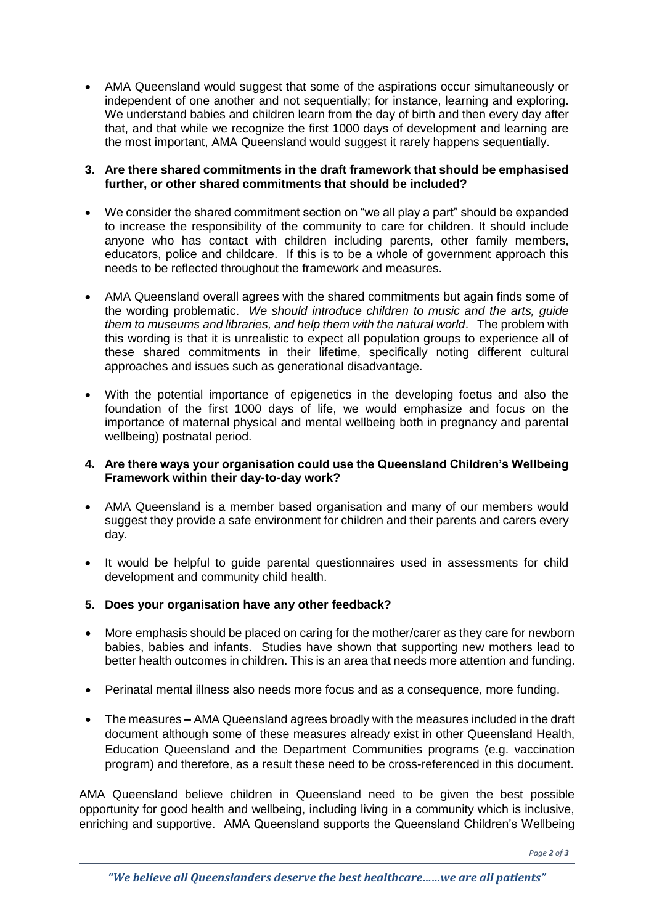AMA Queensland would suggest that some of the aspirations occur simultaneously or independent of one another and not sequentially; for instance, learning and exploring. We understand babies and children learn from the day of birth and then every day after that, and that while we recognize the first 1000 days of development and learning are the most important, AMA Queensland would suggest it rarely happens sequentially.

## **3. Are there shared commitments in the draft framework that should be emphasised further, or other shared commitments that should be included?**

- We consider the shared commitment section on "we all play a part" should be expanded to increase the responsibility of the community to care for children. It should include anyone who has contact with children including parents, other family members, educators, police and childcare. If this is to be a whole of government approach this needs to be reflected throughout the framework and measures.
- AMA Queensland overall agrees with the shared commitments but again finds some of the wording problematic. *We should introduce children to music and the arts, guide them to museums and libraries, and help them with the natural world*. The problem with this wording is that it is unrealistic to expect all population groups to experience all of these shared commitments in their lifetime, specifically noting different cultural approaches and issues such as generational disadvantage.
- With the potential importance of epigenetics in the developing foetus and also the foundation of the first 1000 days of life, we would emphasize and focus on the importance of maternal physical and mental wellbeing both in pregnancy and parental wellbeing) postnatal period.

## **4. Are there ways your organisation could use the Queensland Children's Wellbeing Framework within their day-to-day work?**

- AMA Queensland is a member based organisation and many of our members would suggest they provide a safe environment for children and their parents and carers every day.
- It would be helpful to guide parental questionnaires used in assessments for child development and community child health.

# **5. Does your organisation have any other feedback?**

- More emphasis should be placed on caring for the mother/carer as they care for newborn babies, babies and infants. Studies have shown that supporting new mothers lead to better health outcomes in children. This is an area that needs more attention and funding.
- Perinatal mental illness also needs more focus and as a consequence, more funding.
- The measures **–** AMA Queensland agrees broadly with the measures included in the draft document although some of these measures already exist in other Queensland Health, Education Queensland and the Department Communities programs (e.g. vaccination program) and therefore, as a result these need to be cross-referenced in this document.

AMA Queensland believe children in Queensland need to be given the best possible opportunity for good health and wellbeing, including living in a community which is inclusive, enriching and supportive. AMA Queensland supports the Queensland Children's Wellbeing